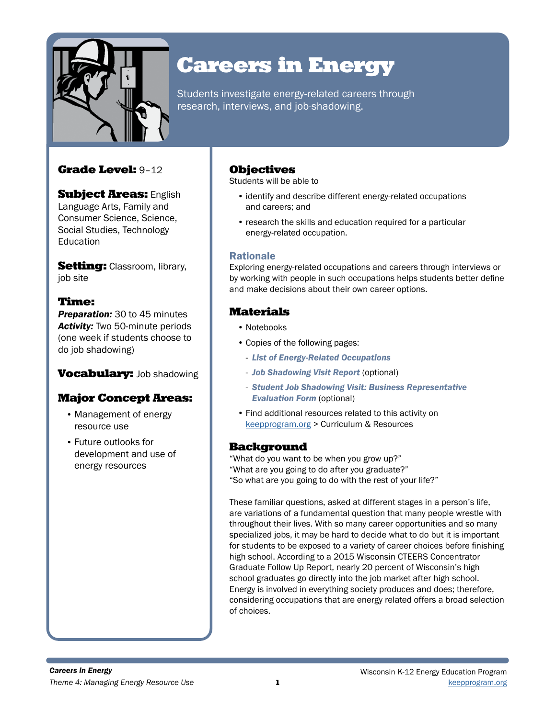

# Careers in Energy

Students investigate energy-related careers through research, interviews, and job-shadowing.

## Grade Level: 9–12

**Subject Areas: English** Language Arts, Family and Consumer Science, Science, Social Studies, Technology **Education** 

Setting: Classroom, library, job site

## Time:

**Preparation:** 30 to 45 minutes *Activity:* Two 50-minute periods (one week if students choose to do job shadowing)

# **Vocabulary: Job shadowing**

# Major Concept Areas:

- Management of energy resource use
- Future outlooks for development and use of energy resources

## Objectives

Students will be able to

- identify and describe different energy-related occupations and careers; and
- research the skills and education required for a particular energy-related occupation.

### Rationale

Exploring energy-related occupations and careers through interviews or by working with people in such occupations helps students better define and make decisions about their own career options.

## Materials

- Notebooks
- Copies of the following pages:
	- *List of Energy-Related Occupations*
	- *Job Shadowing Visit Report* (optional)
	- *Student Job Shadowing Visit: Business Representative Evaluation Form* (optional)
- Find additional resources related to this activity on [keepprogram.org](http://keepprogram.org) > Curriculum & Resources

### **Background**

"What do you want to be when you grow up?" "What are you going to do after you graduate?" "So what are you going to do with the rest of your life?"

These familiar questions, asked at different stages in a person's life, are variations of a fundamental question that many people wrestle with throughout their lives. With so many career opportunities and so many specialized jobs, it may be hard to decide what to do but it is important for students to be exposed to a variety of career choices before finishing high school. According to a 2015 Wisconsin CTEERS Concentrator Graduate Follow Up Report, nearly 20 percent of Wisconsin's high school graduates go directly into the job market after high school. Energy is involved in everything society produces and does; therefore, considering occupations that are energy related offers a broad selection of choices.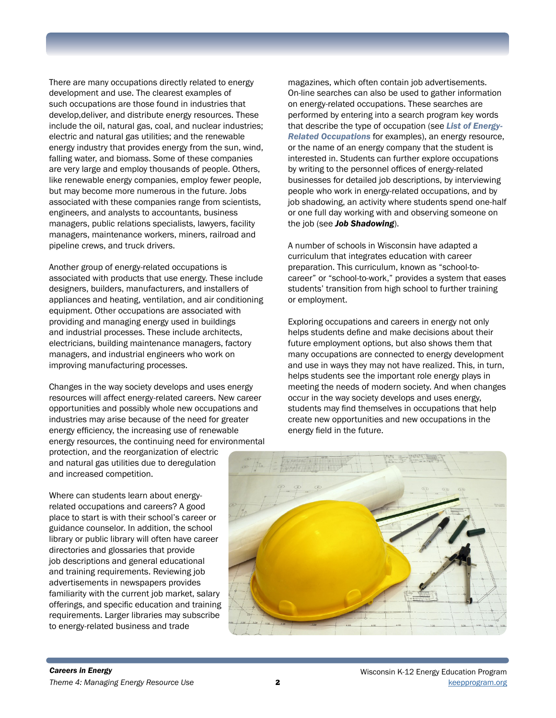There are many occupations directly related to energy development and use. The clearest examples of such occupations are those found in industries that develop,deliver, and distribute energy resources. These include the oil, natural gas, coal, and nuclear industries; electric and natural gas utilities; and the renewable energy industry that provides energy from the sun, wind, falling water, and biomass. Some of these companies are very large and employ thousands of people. Others, like renewable energy companies, employ fewer people, but may become more numerous in the future. Jobs associated with these companies range from scientists, engineers, and analysts to accountants, business managers, public relations specialists, lawyers, facility managers, maintenance workers, miners, railroad and pipeline crews, and truck drivers.

Another group of energy-related occupations is associated with products that use energy. These include designers, builders, manufacturers, and installers of appliances and heating, ventilation, and air conditioning equipment. Other occupations are associated with providing and managing energy used in buildings and industrial processes. These include architects, electricians, building maintenance managers, factory managers, and industrial engineers who work on improving manufacturing processes.

Changes in the way society develops and uses energy resources will affect energy-related careers. New career opportunities and possibly whole new occupations and industries may arise because of the need for greater energy efficiency, the increasing use of renewable energy resources, the continuing need for environmental protection, and the reorganization of electric and natural gas utilities due to deregulation

magazines, which often contain job advertisements. On-line searches can also be used to gather information on energy-related occupations. These searches are performed by entering into a search program key words that describe the type of occupation (see *List of Energy-Related Occupations* for examples), an energy resource, or the name of an energy company that the student is interested in. Students can further explore occupations by writing to the personnel offices of energy-related businesses for detailed job descriptions, by interviewing people who work in energy-related occupations, and by job shadowing, an activity where students spend one-half or one full day working with and observing someone on the job (see *Job Shadowing*).

A number of schools in Wisconsin have adapted a curriculum that integrates education with career preparation. This curriculum, known as "school-tocareer" or "school-to-work," provides a system that eases students' transition from high school to further training or employment.

Exploring occupations and careers in energy not only helps students define and make decisions about their future employment options, but also shows them that many occupations are connected to energy development and use in ways they may not have realized. This, in turn, helps students see the important role energy plays in meeting the needs of modern society. And when changes occur in the way society develops and uses energy, students may find themselves in occupations that help create new opportunities and new occupations in the energy field in the future.



and training requirements. Reviewing job advertisements in newspapers provides familiarity with the current job market, salary offerings, and specific education and training requirements. Larger libraries may subscribe to energy-related business and trade

Where can students learn about energyrelated occupations and careers? A good place to start is with their school's career or guidance counselor. In addition, the school library or public library will often have career directories and glossaries that provide job descriptions and general educational

and increased competition.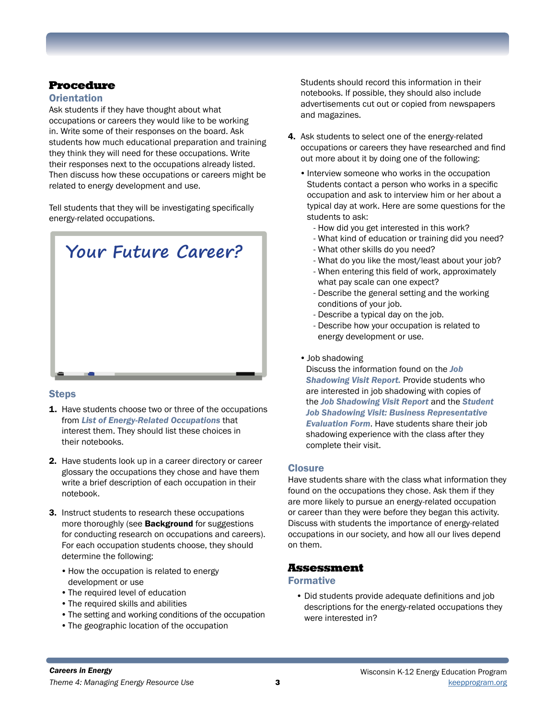# Procedure

### **Orientation**

Ask students if they have thought about what occupations or careers they would like to be working in. Write some of their responses on the board. Ask students how much educational preparation and training they think they will need for these occupations. Write their responses next to the occupations already listed. Then discuss how these occupations or careers might be related to energy development and use.

Tell students that they will be investigating specifically energy-related occupations.



### **Steps**

- **1.** Have students choose two or three of the occupations from *List of Energy-Related Occupations* that interest them. They should list these choices in their notebooks.
- 2. Have students look up in a career directory or career glossary the occupations they chose and have them write a brief description of each occupation in their notebook.
- 3. Instruct students to research these occupations more thoroughly (see **Background** for suggestions for conducting research on occupations and careers). For each occupation students choose, they should determine the following:
	- How the occupation is related to energy development or use
	- •The required level of education
	- •The required skills and abilities
	- •The setting and working conditions of the occupation
	- •The geographic location of the occupation

Students should record this information in their notebooks. If possible, they should also include advertisements cut out or copied from newspapers and magazines.

- 4. Ask students to select one of the energy-related occupations or careers they have researched and find out more about it by doing one of the following:
	- •Interview someone who works in the occupation Students contact a person who works in a specific occupation and ask to interview him or her about a typical day at work. Here are some questions for the students to ask:
		- How did you get interested in this work?
		- What kind of education or training did you need?
		- What other skills do you need?
		- What do you like the most/least about your job?
		- When entering this field of work, approximately what pay scale can one expect?
		- Describe the general setting and the working conditions of your job.
		- Describe a typical day on the job.
		- Describe how your occupation is related to energy development or use.
	- •Job shadowing

Discuss the information found on the *Job Shadowing Visit Report.* Provide students who are interested in job shadowing with copies of the *Job Shadowing Visit Report* and the *Student Job Shadowing Visit: Business Representative Evaluation Form*. Have students share their job shadowing experience with the class after they complete their visit.

### **Closure**

Have students share with the class what information they found on the occupations they chose. Ask them if they are more likely to pursue an energy-related occupation or career than they were before they began this activity. Discuss with students the importance of energy-related occupations in our society, and how all our lives depend on them.

### Assessment

#### Formative

• Did students provide adequate definitions and job descriptions for the energy-related occupations they were interested in?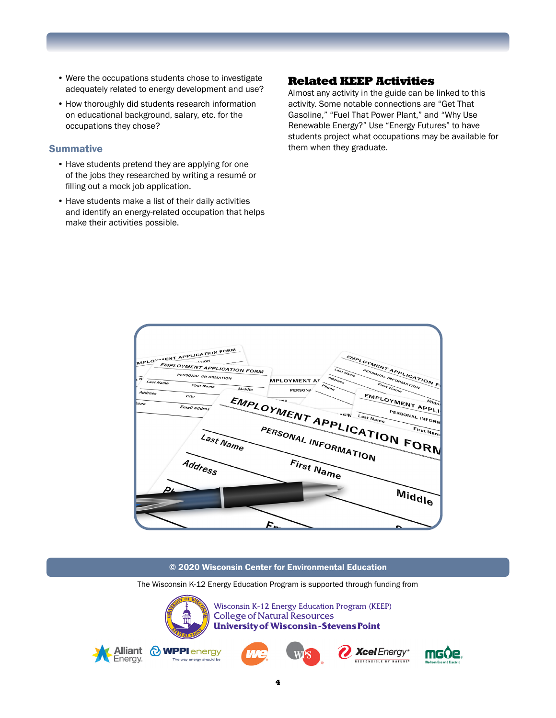- Were the occupations students chose to investigate adequately related to energy development and use?
- How thoroughly did students research information on educational background, salary, etc. for the occupations they chose?

#### **Summative**

- Have students pretend they are applying for one of the jobs they researched by writing a resumé or filling out a mock job application.
- Have students make a list of their daily activities and identify an energy-related occupation that helps make their activities possible.

## Related KEEP Activities

Almost any activity in the guide can be linked to this activity. Some notable connections are "Get That Gasoline," "Fuel That Power Plant," and "Why Use Renewable Energy?" Use "Energy Futures" to have students project what occupations may be available for them when they graduate.



#### © 2020 Wisconsin Center for Environmental Education

The Wisconsin K-12 Energy Education Program is supported through funding from

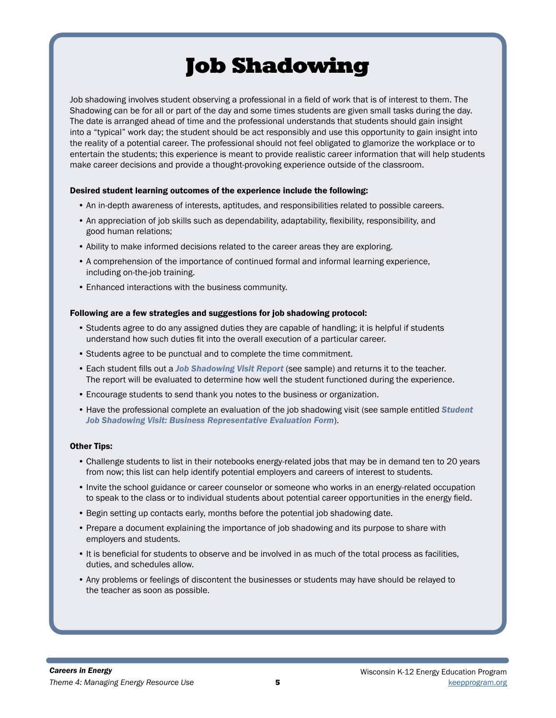# Job Shadowing

Job shadowing involves student observing a professional in a field of work that is of interest to them. The Shadowing can be for all or part of the day and some times students are given small tasks during the day. The date is arranged ahead of time and the professional understands that students should gain insight into a "typical" work day; the student should be act responsibly and use this opportunity to gain insight into the reality of a potential career. The professional should not feel obligated to glamorize the workplace or to entertain the students; this experience is meant to provide realistic career information that will help students make career decisions and provide a thought-provoking experience outside of the classroom.

#### Desired student learning outcomes of the experience include the following:

- An in-depth awareness of interests, aptitudes, and responsibilities related to possible careers.
- An appreciation of job skills such as dependability, adaptability, flexibility, responsibility, and good human relations;
- Ability to make informed decisions related to the career areas they are exploring.
- A comprehension of the importance of continued formal and informal learning experience, including on-the-job training.
- Enhanced interactions with the business community.

#### Following are a few strategies and suggestions for job shadowing protocol:

- Students agree to do any assigned duties they are capable of handling; it is helpful if students understand how such duties fit into the overall execution of a particular career.
- Students agree to be punctual and to complete the time commitment.
- Each student fills out a *Job Shadowing Visit Report* (see sample) and returns it to the teacher. The report will be evaluated to determine how well the student functioned during the experience.
- Encourage students to send thank you notes to the business or organization.
- Have the professional complete an evaluation of the job shadowing visit (see sample entitled *Student Job Shadowing Visit: Business Representative Evaluation Form*).

#### Other Tips:

- Challenge students to list in their notebooks energy-related jobs that may be in demand ten to 20 years from now; this list can help identify potential employers and careers of interest to students.
- Invite the school guidance or career counselor or someone who works in an energy-related occupation to speak to the class or to individual students about potential career opportunities in the energy field.
- Begin setting up contacts early, months before the potential job shadowing date.
- Prepare a document explaining the importance of job shadowing and its purpose to share with employers and students.
- It is beneficial for students to observe and be involved in as much of the total process as facilities, duties, and schedules allow.
- Any problems or feelings of discontent the businesses or students may have should be relayed to the teacher as soon as possible.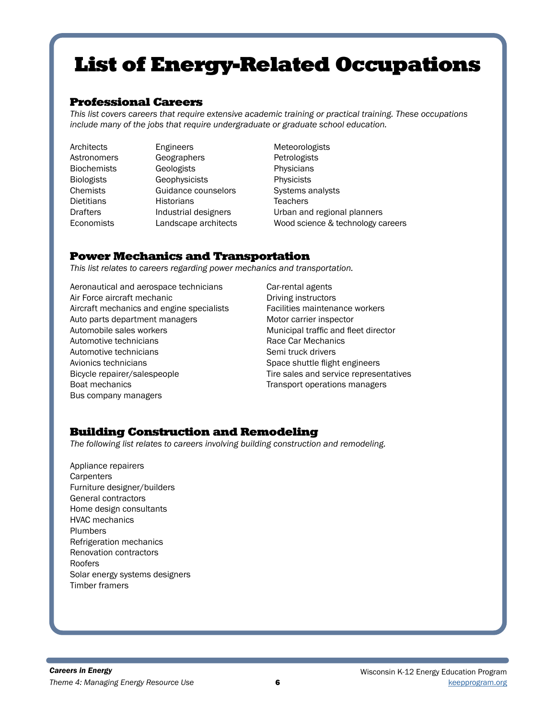# List of Energy-Related Occupations

## Professional Careers

*This list covers careers that require extensive academic training or practical training. These occupations include many of the jobs that require undergraduate or graduate school education.*

Architects Astronomers Biochemists Biologists Chemists Dietitians Drafters Economists

Engineers Geographers **Geologists Geophysicists** Guidance counselors **Historians** Industrial designers Landscape architects

Meteorologists Petrologists **Physicians Physicists** Systems analysts **Teachers** Urban and regional planners Wood science & technology careers

## Power Mechanics and Transportation

*This list relates to careers regarding power mechanics and transportation.*

Aeronautical and aerospace technicians Air Force aircraft mechanic Aircraft mechanics and engine specialists Auto parts department managers Automobile sales workers Automotive technicians Automotive technicians Avionics technicians Bicycle repairer/salespeople Boat mechanics Bus company managers

Car-rental agents Driving instructors Facilities maintenance workers Motor carrier inspector Municipal traffic and fleet director Race Car Mechanics Semi truck drivers Space shuttle flight engineers Tire sales and service representatives Transport operations managers

# Building Construction and Remodeling

*The following list relates to careers involving building construction and remodeling.*

Appliance repairers **Carpenters** Furniture designer/builders General contractors Home design consultants HVAC mechanics Plumbers Refrigeration mechanics Renovation contractors Roofers Solar energy systems designers Timber framers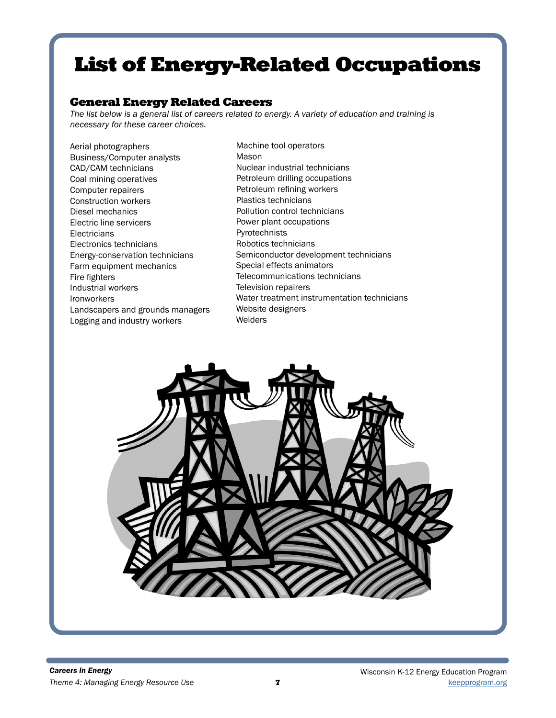# List of Energy-Related Occupations

## General Energy Related Careers

*The list below is a general list of careers related to energy. A variety of education and training is necessary for these career choices.*

Aerial photographers Business/Computer analysts CAD/CAM technicians Coal mining operatives Computer repairers Construction workers Diesel mechanics Electric line servicers **Electricians** Electronics technicians Energy-conservation technicians Farm equipment mechanics Fire fighters Industrial workers Ironworkers Landscapers and grounds managers Logging and industry workers

Machine tool operators Mason Nuclear industrial technicians Petroleum drilling occupations Petroleum refining workers Plastics technicians Pollution control technicians Power plant occupations Pyrotechnists Robotics technicians Semiconductor development technicians Special effects animators Telecommunications technicians Television repairers Water treatment instrumentation technicians Website designers Welders

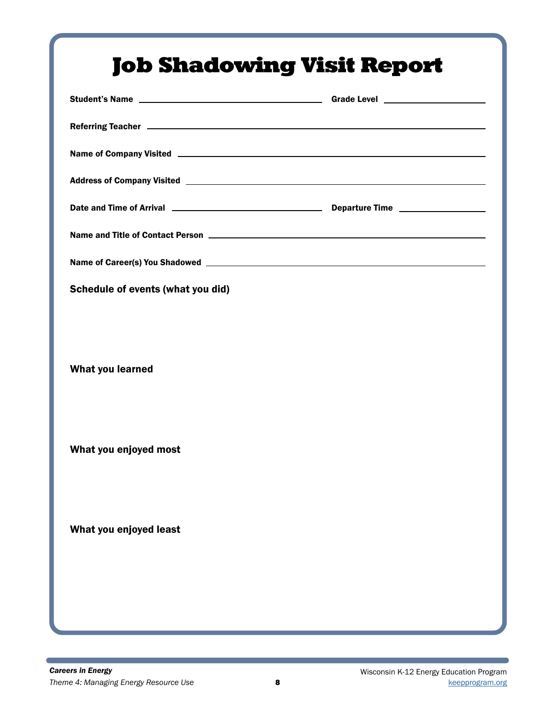| Name of Company Visited <b>example and the Company Visited</b> experience of Company Visited <b>example and the Company</b> |  |
|-----------------------------------------------------------------------------------------------------------------------------|--|
|                                                                                                                             |  |
|                                                                                                                             |  |
|                                                                                                                             |  |
|                                                                                                                             |  |
| Schedule of events (what you did)                                                                                           |  |
| What you learned<br>What you enjoyed most                                                                                   |  |
| What you enjoyed least                                                                                                      |  |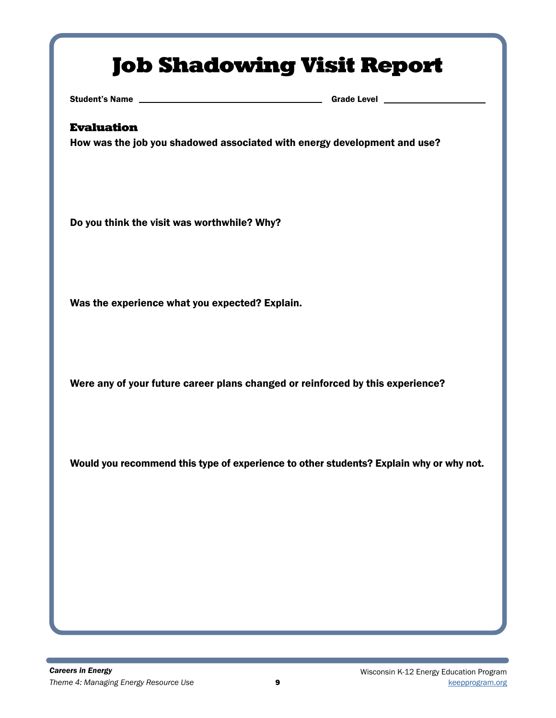# Job Shadowing Visit Report

Student's Name Grade Level Grade Level Grade Level Grade Level Grade Level Grade Level Grade Level G

## Evaluation

How was the job you shadowed associated with energy development and use?

Do you think the visit was worthwhile? Why?

Was the experience what you expected? Explain.

Were any of your future career plans changed or reinforced by this experience?

Would you recommend this type of experience to other students? Explain why or why not.